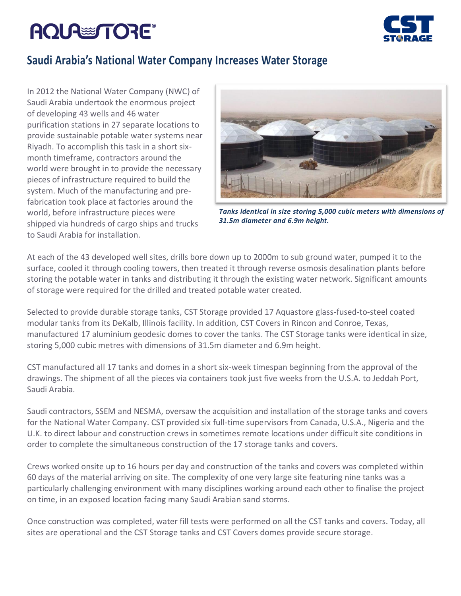# **AQUA TORE®**



## **Saudi Arabia's National Water Company Increases Water Storage**

In 2012 the National Water Company (NWC) of Saudi Arabia undertook the enormous project of developing 43 wells and 46 water purification stations in 27 separate locations to provide sustainable potable water systems near Riyadh. To accomplish this task in a short sixmonth timeframe, contractors around the world were brought in to provide the necessary pieces of infrastructure required to build the system. Much of the manufacturing and prefabrication took place at factories around the world, before infrastructure pieces were shipped via hundreds of cargo ships and trucks to Saudi Arabia for installation.



*Tanks identical in size storing 5,000 cubic meters with dimensions of 31.5m diameter and 6.9m height.*

At each of the 43 developed well sites, drills bore down up to 2000m to sub ground water, pumped it to the surface, cooled it through cooling towers, then treated it through reverse osmosis desalination plants before storing the potable water in tanks and distributing it through the existing water network. Significant amounts of storage were required for the drilled and treated potable water created.

Selected to provide durable storage tanks, CST Storage provided 17 Aquastore glass-fused-to-steel coated modular tanks from its DeKalb, Illinois facility. In addition, CST Covers in Rincon and Conroe, Texas, manufactured 17 aluminium geodesic domes to cover the tanks. The CST Storage tanks were identical in size, storing 5,000 cubic metres with dimensions of 31.5m diameter and 6.9m height.

CST manufactured all 17 tanks and domes in a short six-week timespan beginning from the approval of the drawings. The shipment of all the pieces via containers took just five weeks from the U.S.A. to Jeddah Port, Saudi Arabia.

Saudi contractors, SSEM and NESMA, oversaw the acquisition and installation of the storage tanks and covers for the National Water Company. CST provided six full-time supervisors from Canada, U.S.A., Nigeria and the U.K. to direct labour and construction crews in sometimes remote locations under difficult site conditions in order to complete the simultaneous construction of the 17 storage tanks and covers.

Crews worked onsite up to 16 hours per day and construction of the tanks and covers was completed within 60 days of the material arriving on site. The complexity of one very large site featuring nine tanks was a particularly challenging environment with many disciplines working around each other to finalise the project on time, in an exposed location facing many Saudi Arabian sand storms.

Once construction was completed, water fill tests were performed on all the CST tanks and covers. Today, all sites are operational and the CST Storage tanks and CST Covers domes provide secure storage.